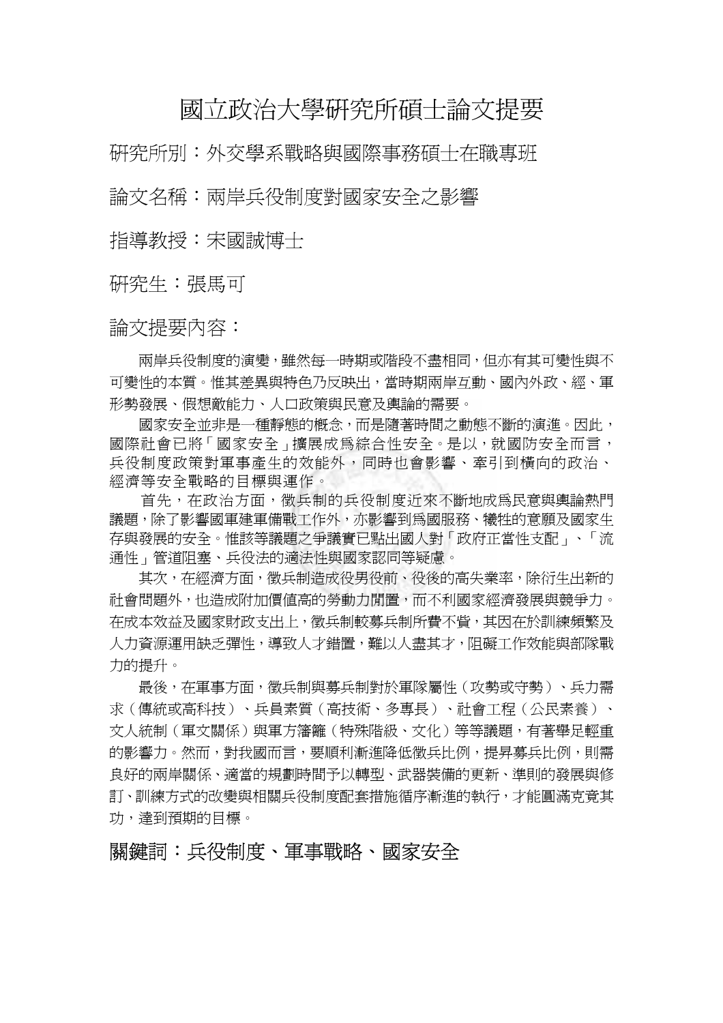## 國立政治大學研究所碩士論文提要

研究所別:外交學系戰略與國際事務碩士在職專班

論文名稱:兩岸兵役制度對國家安全之影響

指導教授:宋國誠博士

研究生:張馬可

論文提要內容:

 兩岸兵役制度的演變,雖然每一時期或階段不盡相同,但亦有其可變性與不 可變性的本質。惟其差異與特色乃反映出,當時期兩岸互動、國內外政、經、軍 形勢發展、假想敵能力、人口政策與民意及輿論的需要。

 國家安全並非是一種靜態的概念,而是隨著時間之動態不斷的演進。因此, 國際社會已將「國家安全」擴展成為綜合性安全。是以,就國防安全而言, 兵役制度政策對軍事產生的效能外,同時也會影響、牽引到橫向的政治、 經濟等安全戰略的目標與運作。

首先,在政治方面,徵兵制的兵役制度近來不斷地成為民意與輿論熱門 議題,除了影響國軍建軍備戰工作外,亦影響到為國服務、犧牲的意願及國家生 存與發展的安全。惟該等議題之爭議實已點出國人對「政府正當性支配」、「流 通性」管道阻塞、兵役法的適法性與國家認同等疑慮。

 其次,在經濟方面,徵兵制造成役男役前、役後的高失業率,除衍生出新的 社會問題外,也造成附加價值高的勞動力閒置,而不利國家經濟發展與競爭力。 在成本效益及國家財政支出上,徵兵制較募兵制所費不貲,其因在於訓練頻繁及 人力資源運用缺乏彈性,導致人才錯置,難以人盡其才,阻礙工作效能與部隊戰 力的提升。

 最後,在軍事方面,徵兵制與募兵制對於軍隊屬性(攻勢或守勢)、兵力需 求(傳統或高科技)、兵員素質(高技術、多專長)、社會工程(公民素養)、 文人統制(軍文關係)與軍方籓籬(特殊階級、文化)等等議題,有著舉足輕重 的影響力。然而,對我國而言,要順利漸進降低徵兵比例,提昇募兵比例,則需 良好的兩岸關係、適當的規劃時間予以轉型、武器裝備的更新、準則的發展與修 訂、訓練方式的改變與相關兵役制度配套措施循序漸進的執行,才能圓滿克竟其 功,達到預期的目標。

關鍵詞:兵役制度、軍事戰略、國家安全